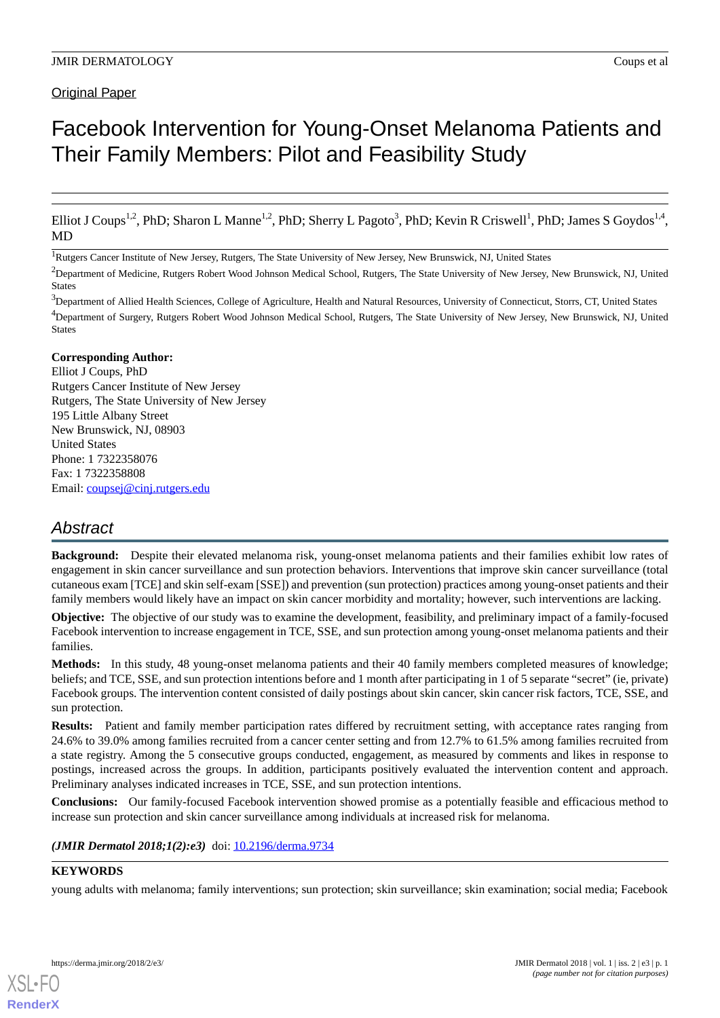#### **Original Paper**

## Facebook Intervention for Young-Onset Melanoma Patients and Their Family Members: Pilot and Feasibility Study

Elliot J Coups<sup>1,2</sup>, PhD; Sharon L Manne<sup>1,2</sup>, PhD; Sherry L Pagoto<sup>3</sup>, PhD; Kevin R Criswell<sup>1</sup>, PhD; James S Goydos<sup>1,4</sup>, MD

<sup>1</sup>Rutgers Cancer Institute of New Jersey, Rutgers, The State University of New Jersey, New Brunswick, NJ, United States

<sup>2</sup>Department of Medicine, Rutgers Robert Wood Johnson Medical School, Rutgers, The State University of New Jersey, New Brunswick, NJ, United States

<sup>3</sup>Department of Allied Health Sciences, College of Agriculture, Health and Natural Resources, University of Connecticut, Storrs, CT, United States <sup>4</sup>Department of Surgery, Rutgers Robert Wood Johnson Medical School, Rutgers, The State University of New Jersey, New Brunswick, NJ, United States

#### **Corresponding Author:**

Elliot J Coups, PhD Rutgers Cancer Institute of New Jersey Rutgers, The State University of New Jersey 195 Little Albany Street New Brunswick, NJ, 08903 United States Phone: 1 7322358076 Fax: 1 7322358808 Email: [coupsej@cinj.rutgers.edu](mailto:coupsej@cinj.rutgers.edu)

## *Abstract*

**Background:** Despite their elevated melanoma risk, young-onset melanoma patients and their families exhibit low rates of engagement in skin cancer surveillance and sun protection behaviors. Interventions that improve skin cancer surveillance (total cutaneous exam [TCE] and skin self-exam [SSE]) and prevention (sun protection) practices among young-onset patients and their family members would likely have an impact on skin cancer morbidity and mortality; however, such interventions are lacking.

**Objective:** The objective of our study was to examine the development, feasibility, and preliminary impact of a family-focused Facebook intervention to increase engagement in TCE, SSE, and sun protection among young-onset melanoma patients and their families.

**Methods:** In this study, 48 young-onset melanoma patients and their 40 family members completed measures of knowledge; beliefs; and TCE, SSE, and sun protection intentions before and 1 month after participating in 1 of 5 separate "secret" (ie, private) Facebook groups. The intervention content consisted of daily postings about skin cancer, skin cancer risk factors, TCE, SSE, and sun protection.

**Results:** Patient and family member participation rates differed by recruitment setting, with acceptance rates ranging from 24.6% to 39.0% among families recruited from a cancer center setting and from 12.7% to 61.5% among families recruited from a state registry. Among the 5 consecutive groups conducted, engagement, as measured by comments and likes in response to postings, increased across the groups. In addition, participants positively evaluated the intervention content and approach. Preliminary analyses indicated increases in TCE, SSE, and sun protection intentions.

**Conclusions:** Our family-focused Facebook intervention showed promise as a potentially feasible and efficacious method to increase sun protection and skin cancer surveillance among individuals at increased risk for melanoma.

#### *(JMIR Dermatol 2018;1(2):e3)* doi: [10.2196/derma.9734](http://dx.doi.org/10.2196/derma.9734)

## **KEYWORDS**

young adults with melanoma; family interventions; sun protection; skin surveillance; skin examination; social media; Facebook

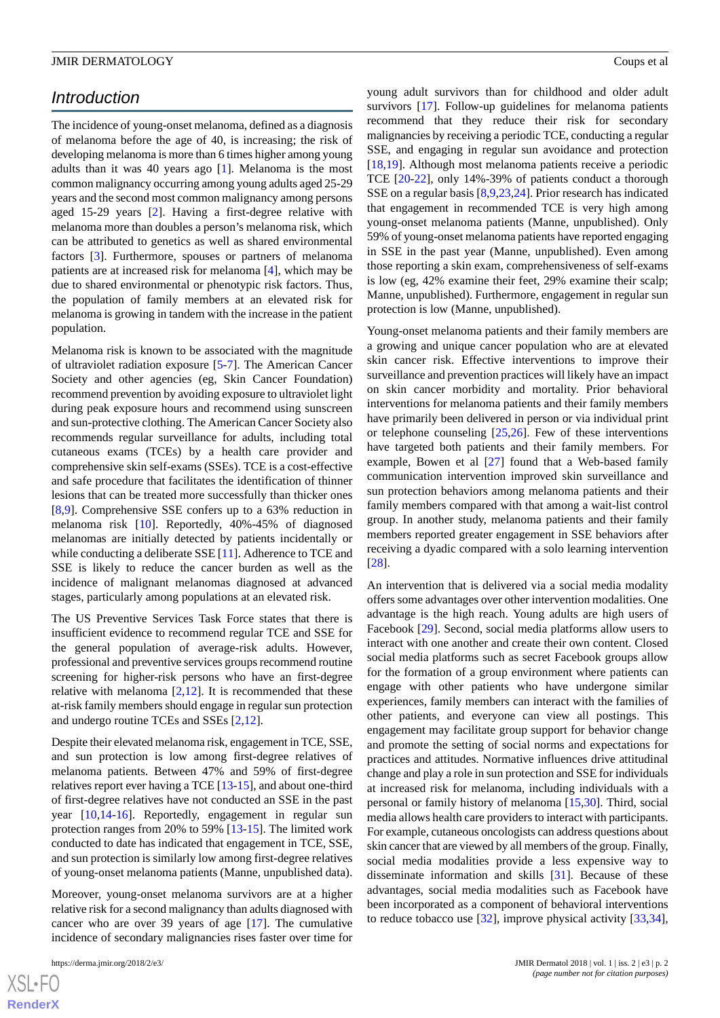## *Introduction*

The incidence of young-onset melanoma, defined as a diagnosis of melanoma before the age of 40, is increasing; the risk of developing melanoma is more than 6 times higher among young adults than it was 40 years ago [[1\]](#page-10-0). Melanoma is the most common malignancy occurring among young adults aged 25-29 years and the second most common malignancy among persons aged 15-29 years [[2\]](#page-10-1). Having a first-degree relative with melanoma more than doubles a person's melanoma risk, which can be attributed to genetics as well as shared environmental factors [[3\]](#page-10-2). Furthermore, spouses or partners of melanoma patients are at increased risk for melanoma [[4](#page-10-3)], which may be due to shared environmental or phenotypic risk factors. Thus, the population of family members at an elevated risk for melanoma is growing in tandem with the increase in the patient population.

Melanoma risk is known to be associated with the magnitude of ultraviolet radiation exposure [[5](#page-10-4)-[7\]](#page-10-5). The American Cancer Society and other agencies (eg, Skin Cancer Foundation) recommend prevention by avoiding exposure to ultraviolet light during peak exposure hours and recommend using sunscreen and sun-protective clothing. The American Cancer Society also recommends regular surveillance for adults, including total cutaneous exams (TCEs) by a health care provider and comprehensive skin self-exams (SSEs). TCE is a cost-effective and safe procedure that facilitates the identification of thinner lesions that can be treated more successfully than thicker ones [[8](#page-10-6)[,9](#page-10-7)]. Comprehensive SSE confers up to a 63% reduction in melanoma risk [\[10](#page-10-8)]. Reportedly, 40%-45% of diagnosed melanomas are initially detected by patients incidentally or while conducting a deliberate SSE [[11\]](#page-10-9). Adherence to TCE and SSE is likely to reduce the cancer burden as well as the incidence of malignant melanomas diagnosed at advanced stages, particularly among populations at an elevated risk.

The US Preventive Services Task Force states that there is insufficient evidence to recommend regular TCE and SSE for the general population of average-risk adults. However, professional and preventive services groups recommend routine screening for higher-risk persons who have an first-degree relative with melanoma  $[2,12]$  $[2,12]$  $[2,12]$  $[2,12]$ . It is recommended that these at-risk family members should engage in regular sun protection and undergo routine TCEs and SSEs [[2,](#page-10-1)[12](#page-10-10)].

Despite their elevated melanoma risk, engagement in TCE, SSE, and sun protection is low among first-degree relatives of melanoma patients. Between 47% and 59% of first-degree relatives report ever having a TCE [[13](#page-10-11)[-15](#page-10-12)], and about one-third of first-degree relatives have not conducted an SSE in the past year [\[10](#page-10-8),[14-](#page-10-13)[16\]](#page-10-14). Reportedly, engagement in regular sun protection ranges from 20% to 59% [[13](#page-10-11)[-15](#page-10-12)]. The limited work conducted to date has indicated that engagement in TCE, SSE, and sun protection is similarly low among first-degree relatives of young-onset melanoma patients (Manne, unpublished data).

Moreover, young-onset melanoma survivors are at a higher relative risk for a second malignancy than adults diagnosed with cancer who are over 39 years of age [\[17](#page-10-15)]. The cumulative incidence of secondary malignancies rises faster over time for

young adult survivors than for childhood and older adult survivors [\[17](#page-10-15)]. Follow-up guidelines for melanoma patients recommend that they reduce their risk for secondary malignancies by receiving a periodic TCE, conducting a regular SSE, and engaging in regular sun avoidance and protection [[18,](#page-10-16)[19\]](#page-10-17). Although most melanoma patients receive a periodic TCE [\[20](#page-10-18)-[22\]](#page-10-19), only 14%-39% of patients conduct a thorough SSE on a regular basis [[8](#page-10-6)[,9](#page-10-7)[,23](#page-11-0)[,24](#page-11-1)]. Prior research has indicated that engagement in recommended TCE is very high among young-onset melanoma patients (Manne, unpublished). Only 59% of young-onset melanoma patients have reported engaging in SSE in the past year (Manne, unpublished). Even among those reporting a skin exam, comprehensiveness of self-exams is low (eg, 42% examine their feet, 29% examine their scalp; Manne, unpublished). Furthermore, engagement in regular sun protection is low (Manne, unpublished).

Young-onset melanoma patients and their family members are a growing and unique cancer population who are at elevated skin cancer risk. Effective interventions to improve their surveillance and prevention practices will likely have an impact on skin cancer morbidity and mortality. Prior behavioral interventions for melanoma patients and their family members have primarily been delivered in person or via individual print or telephone counseling [[25](#page-11-2)[,26](#page-11-3)]. Few of these interventions have targeted both patients and their family members. For example, Bowen et al [[27\]](#page-11-4) found that a Web-based family communication intervention improved skin surveillance and sun protection behaviors among melanoma patients and their family members compared with that among a wait-list control group. In another study, melanoma patients and their family members reported greater engagement in SSE behaviors after receiving a dyadic compared with a solo learning intervention [[28\]](#page-11-5).

An intervention that is delivered via a social media modality offers some advantages over other intervention modalities. One advantage is the high reach. Young adults are high users of Facebook [[29\]](#page-11-6). Second, social media platforms allow users to interact with one another and create their own content. Closed social media platforms such as secret Facebook groups allow for the formation of a group environment where patients can engage with other patients who have undergone similar experiences, family members can interact with the families of other patients, and everyone can view all postings. This engagement may facilitate group support for behavior change and promote the setting of social norms and expectations for practices and attitudes. Normative influences drive attitudinal change and play a role in sun protection and SSE for individuals at increased risk for melanoma, including individuals with a personal or family history of melanoma [\[15](#page-10-12)[,30](#page-11-7)]. Third, social media allows health care providers to interact with participants. For example, cutaneous oncologists can address questions about skin cancer that are viewed by all members of the group. Finally, social media modalities provide a less expensive way to disseminate information and skills [\[31](#page-11-8)]. Because of these advantages, social media modalities such as Facebook have been incorporated as a component of behavioral interventions to reduce tobacco use  $[32]$  $[32]$ , improve physical activity  $[33,34]$  $[33,34]$  $[33,34]$ ,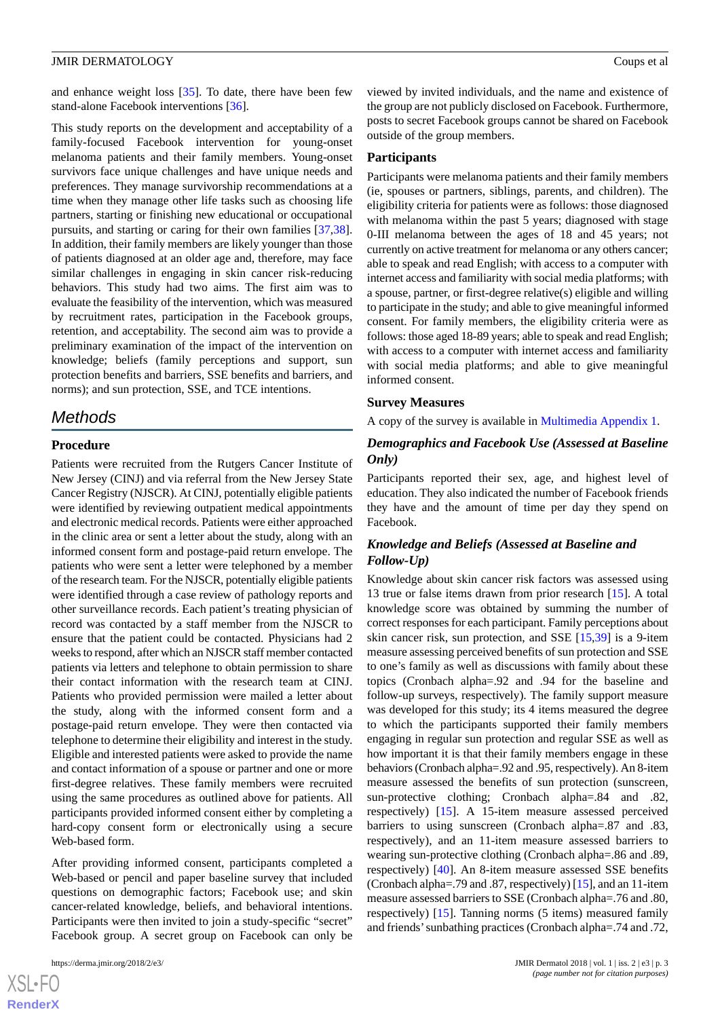and enhance weight loss [\[35](#page-11-12)]. To date, there have been few stand-alone Facebook interventions [\[36](#page-11-13)].

This study reports on the development and acceptability of a family-focused Facebook intervention for young-onset melanoma patients and their family members. Young-onset survivors face unique challenges and have unique needs and preferences. They manage survivorship recommendations at a time when they manage other life tasks such as choosing life partners, starting or finishing new educational or occupational pursuits, and starting or caring for their own families [\[37](#page-11-14),[38\]](#page-11-15). In addition, their family members are likely younger than those of patients diagnosed at an older age and, therefore, may face similar challenges in engaging in skin cancer risk-reducing behaviors. This study had two aims. The first aim was to evaluate the feasibility of the intervention, which was measured by recruitment rates, participation in the Facebook groups, retention, and acceptability. The second aim was to provide a preliminary examination of the impact of the intervention on knowledge; beliefs (family perceptions and support, sun protection benefits and barriers, SSE benefits and barriers, and norms); and sun protection, SSE, and TCE intentions.

#### *Methods*

#### **Procedure**

Patients were recruited from the Rutgers Cancer Institute of New Jersey (CINJ) and via referral from the New Jersey State Cancer Registry (NJSCR). At CINJ, potentially eligible patients were identified by reviewing outpatient medical appointments and electronic medical records. Patients were either approached in the clinic area or sent a letter about the study, along with an informed consent form and postage-paid return envelope. The patients who were sent a letter were telephoned by a member of the research team. For the NJSCR, potentially eligible patients were identified through a case review of pathology reports and other surveillance records. Each patient's treating physician of record was contacted by a staff member from the NJSCR to ensure that the patient could be contacted. Physicians had 2 weeks to respond, after which an NJSCR staff member contacted patients via letters and telephone to obtain permission to share their contact information with the research team at CINJ. Patients who provided permission were mailed a letter about the study, along with the informed consent form and a postage-paid return envelope. They were then contacted via telephone to determine their eligibility and interest in the study. Eligible and interested patients were asked to provide the name and contact information of a spouse or partner and one or more first-degree relatives. These family members were recruited using the same procedures as outlined above for patients. All participants provided informed consent either by completing a hard-copy consent form or electronically using a secure Web-based form.

After providing informed consent, participants completed a Web-based or pencil and paper baseline survey that included questions on demographic factors; Facebook use; and skin cancer-related knowledge, beliefs, and behavioral intentions. Participants were then invited to join a study-specific "secret" Facebook group. A secret group on Facebook can only be

viewed by invited individuals, and the name and existence of the group are not publicly disclosed on Facebook. Furthermore, posts to secret Facebook groups cannot be shared on Facebook outside of the group members.

#### **Participants**

Participants were melanoma patients and their family members (ie, spouses or partners, siblings, parents, and children). The eligibility criteria for patients were as follows: those diagnosed with melanoma within the past 5 years; diagnosed with stage 0-III melanoma between the ages of 18 and 45 years; not currently on active treatment for melanoma or any others cancer; able to speak and read English; with access to a computer with internet access and familiarity with social media platforms; with a spouse, partner, or first-degree relative(s) eligible and willing to participate in the study; and able to give meaningful informed consent. For family members, the eligibility criteria were as follows: those aged 18-89 years; able to speak and read English; with access to a computer with internet access and familiarity with social media platforms; and able to give meaningful informed consent.

#### **Survey Measures**

A copy of the survey is available in [Multimedia Appendix 1](#page-9-0).

#### *Demographics and Facebook Use (Assessed at Baseline Only)*

Participants reported their sex, age, and highest level of education. They also indicated the number of Facebook friends they have and the amount of time per day they spend on Facebook.

#### *Knowledge and Beliefs (Assessed at Baseline and Follow-Up)*

Knowledge about skin cancer risk factors was assessed using 13 true or false items drawn from prior research [[15\]](#page-10-12). A total knowledge score was obtained by summing the number of correct responses for each participant. Family perceptions about skin cancer risk, sun protection, and SSE [[15,](#page-10-12)[39](#page-11-16)] is a 9-item measure assessing perceived benefits of sun protection and SSE to one's family as well as discussions with family about these topics (Cronbach alpha=.92 and .94 for the baseline and follow-up surveys, respectively). The family support measure was developed for this study; its 4 items measured the degree to which the participants supported their family members engaging in regular sun protection and regular SSE as well as how important it is that their family members engage in these behaviors (Cronbach alpha=.92 and .95, respectively). An 8-item measure assessed the benefits of sun protection (sunscreen, sun-protective clothing; Cronbach alpha=.84 and .82, respectively) [\[15](#page-10-12)]. A 15-item measure assessed perceived barriers to using sunscreen (Cronbach alpha=.87 and .83, respectively), and an 11-item measure assessed barriers to wearing sun-protective clothing (Cronbach alpha=.86 and .89, respectively) [[40\]](#page-11-17). An 8-item measure assessed SSE benefits (Cronbach alpha=.79 and .87, respectively) [\[15\]](#page-10-12), and an 11-item measure assessed barriers to SSE (Cronbach alpha=.76 and .80, respectively) [[15\]](#page-10-12). Tanning norms (5 items) measured family and friends'sunbathing practices (Cronbach alpha=.74 and .72,

 $XS$ -FO **[RenderX](http://www.renderx.com/)**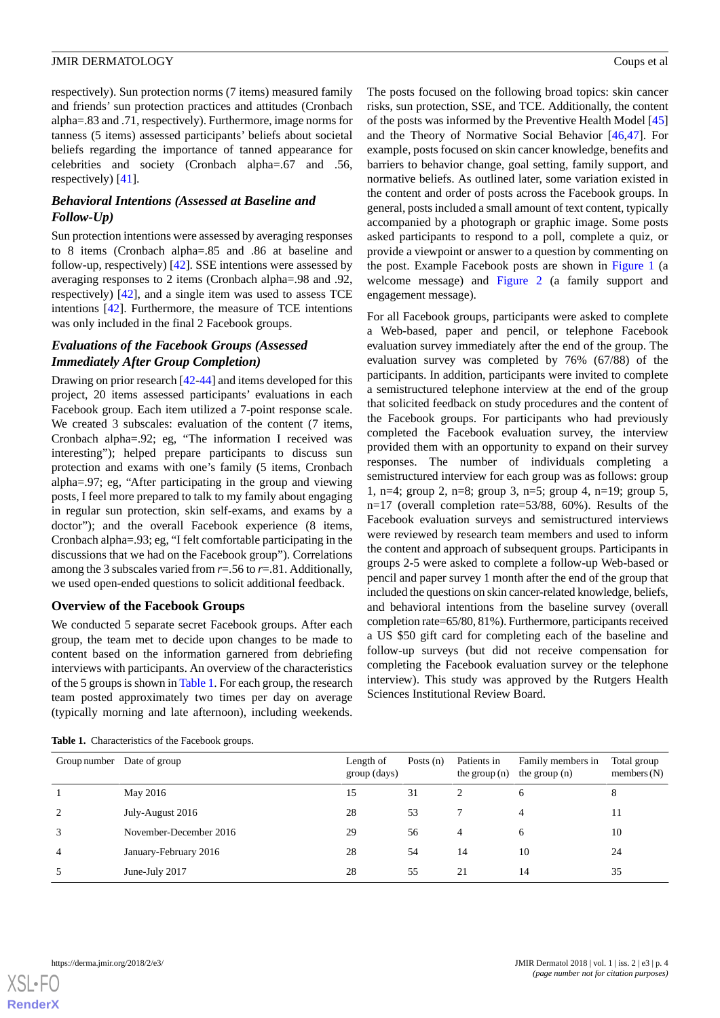respectively). Sun protection norms (7 items) measured family and friends' sun protection practices and attitudes (Cronbach alpha=.83 and .71, respectively). Furthermore, image norms for tanness (5 items) assessed participants' beliefs about societal beliefs regarding the importance of tanned appearance for celebrities and society (Cronbach alpha=.67 and .56, respectively) [[41\]](#page-11-18).

#### *Behavioral Intentions (Assessed at Baseline and Follow-Up)*

Sun protection intentions were assessed by averaging responses to 8 items (Cronbach alpha=.85 and .86 at baseline and follow-up, respectively) [[42\]](#page-11-19). SSE intentions were assessed by averaging responses to 2 items (Cronbach alpha=.98 and .92, respectively) [\[42](#page-11-19)], and a single item was used to assess TCE intentions [[42\]](#page-11-19). Furthermore, the measure of TCE intentions was only included in the final 2 Facebook groups.

#### *Evaluations of the Facebook Groups (Assessed Immediately After Group Completion)*

Drawing on prior research [[42-](#page-11-19)[44](#page-11-20)] and items developed for this project, 20 items assessed participants' evaluations in each Facebook group. Each item utilized a 7-point response scale. We created 3 subscales: evaluation of the content (7 items, Cronbach alpha=.92; eg, "The information I received was interesting"); helped prepare participants to discuss sun protection and exams with one's family (5 items, Cronbach alpha=.97; eg, "After participating in the group and viewing posts, I feel more prepared to talk to my family about engaging in regular sun protection, skin self-exams, and exams by a doctor"); and the overall Facebook experience (8 items, Cronbach alpha=.93; eg, "I felt comfortable participating in the discussions that we had on the Facebook group"). Correlations among the 3 subscales varied from  $r = .56$  to  $r = .81$ . Additionally, we used open-ended questions to solicit additional feedback.

#### **Overview of the Facebook Groups**

<span id="page-3-0"></span>We conducted 5 separate secret Facebook groups. After each group, the team met to decide upon changes to be made to content based on the information garnered from debriefing interviews with participants. An overview of the characteristics of the 5 groups is shown in [Table 1](#page-3-0). For each group, the research team posted approximately two times per day on average (typically morning and late afternoon), including weekends.

**Table 1.** Characteristics of the Facebook groups.

The posts focused on the following broad topics: skin cancer risks, sun protection, SSE, and TCE. Additionally, the content of the posts was informed by the Preventive Health Model [\[45](#page-11-21)] and the Theory of Normative Social Behavior [\[46](#page-12-0),[47\]](#page-12-1). For example, posts focused on skin cancer knowledge, benefits and barriers to behavior change, goal setting, family support, and normative beliefs. As outlined later, some variation existed in the content and order of posts across the Facebook groups. In general, posts included a small amount of text content, typically accompanied by a photograph or graphic image. Some posts asked participants to respond to a poll, complete a quiz, or provide a viewpoint or answer to a question by commenting on the post. Example Facebook posts are shown in [Figure 1](#page-4-0) (a welcome message) and [Figure 2](#page-4-1) (a family support and engagement message).

For all Facebook groups, participants were asked to complete a Web-based, paper and pencil, or telephone Facebook evaluation survey immediately after the end of the group. The evaluation survey was completed by 76% (67/88) of the participants. In addition, participants were invited to complete a semistructured telephone interview at the end of the group that solicited feedback on study procedures and the content of the Facebook groups. For participants who had previously completed the Facebook evaluation survey, the interview provided them with an opportunity to expand on their survey responses. The number of individuals completing a semistructured interview for each group was as follows: group 1, n=4; group 2, n=8; group 3, n=5; group 4, n=19; group 5, n=17 (overall completion rate=53/88, 60%). Results of the Facebook evaluation surveys and semistructured interviews were reviewed by research team members and used to inform the content and approach of subsequent groups. Participants in groups 2-5 were asked to complete a follow-up Web-based or pencil and paper survey 1 month after the end of the group that included the questions on skin cancer-related knowledge, beliefs, and behavioral intentions from the baseline survey (overall completion rate=65/80, 81%). Furthermore, participants received a US \$50 gift card for completing each of the baseline and follow-up surveys (but did not receive compensation for completing the Facebook evaluation survey or the telephone interview). This study was approved by the Rutgers Health Sciences Institutional Review Board.

| Group number   | Date of group          | Length of<br>group (days) | Posts $(n)$ | Patients in<br>the group $(n)$ | Family members in<br>the group $(n)$ | Total group<br>members $(N)$ |
|----------------|------------------------|---------------------------|-------------|--------------------------------|--------------------------------------|------------------------------|
|                | May 2016               | 15                        | 31          | ◠                              | 6                                    | 8                            |
| $\overline{2}$ | July-August 2016       | 28                        | 53          |                                | 4                                    | 11                           |
| 3              | November-December 2016 | 29                        | 56          | 4                              | 6                                    | 10                           |
| 4              | January-February 2016  | 28                        | 54          | 14                             | 10                                   | 24                           |
|                | June-July 2017         | 28                        | 55          | 21                             | 14                                   | 35                           |

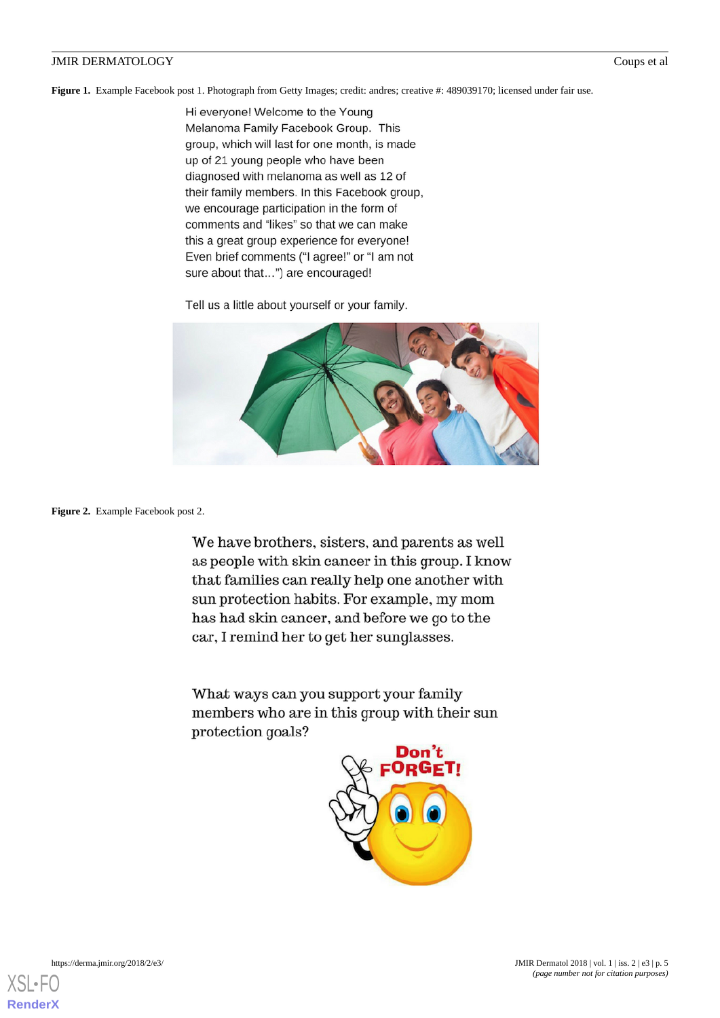<span id="page-4-0"></span>Figure 1. Example Facebook post 1. Photograph from Getty Images; credit: andres; creative #: 489039170; licensed under fair use.

Hi everyone! Welcome to the Young Melanoma Family Facebook Group. This group, which will last for one month, is made up of 21 young people who have been diagnosed with melanoma as well as 12 of their family members. In this Facebook group, we encourage participation in the form of comments and "likes" so that we can make this a great group experience for everyone! Even brief comments ("I agree!" or "I am not sure about that...") are encouraged!

Tell us a little about yourself or your family.



<span id="page-4-1"></span>Figure 2. Example Facebook post 2.

We have brothers, sisters, and parents as well as people with skin cancer in this group. I know that families can really help one another with sun protection habits. For example, my mom has had skin cancer, and before we go to the car, I remind her to get her sunglasses.

What ways can you support your family members who are in this group with their sun protection goals?

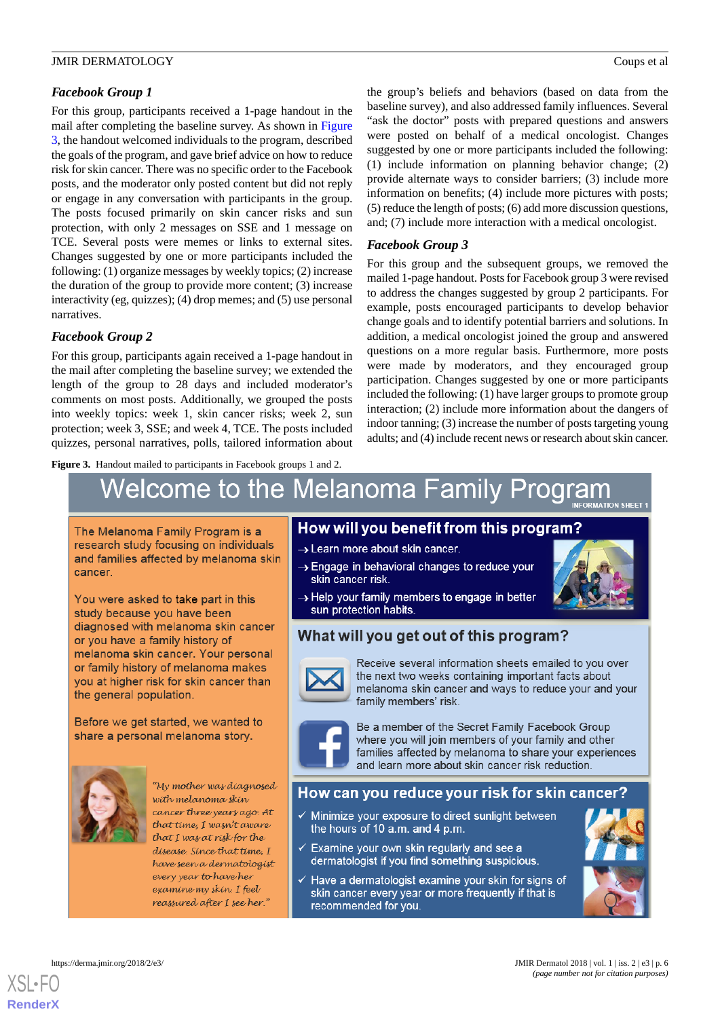#### *Facebook Group 1*

For this group, participants received a 1-page handout in the mail after completing the baseline survey. As shown in [Figure](#page-5-0) [3,](#page-5-0) the handout welcomed individuals to the program, described the goals of the program, and gave brief advice on how to reduce risk for skin cancer. There was no specific order to the Facebook posts, and the moderator only posted content but did not reply or engage in any conversation with participants in the group. The posts focused primarily on skin cancer risks and sun protection, with only 2 messages on SSE and 1 message on TCE. Several posts were memes or links to external sites. Changes suggested by one or more participants included the following: (1) organize messages by weekly topics; (2) increase the duration of the group to provide more content; (3) increase interactivity (eg, quizzes); (4) drop memes; and (5) use personal narratives.

#### *Facebook Group 2*

For this group, participants again received a 1-page handout in the mail after completing the baseline survey; we extended the length of the group to 28 days and included moderator's comments on most posts. Additionally, we grouped the posts into weekly topics: week 1, skin cancer risks; week 2, sun protection; week 3, SSE; and week 4, TCE. The posts included quizzes, personal narratives, polls, tailored information about

<span id="page-5-0"></span>**Figure 3.** Handout mailed to participants in Facebook groups 1 and 2.

the group's beliefs and behaviors (based on data from the baseline survey), and also addressed family influences. Several "ask the doctor" posts with prepared questions and answers were posted on behalf of a medical oncologist. Changes suggested by one or more participants included the following: (1) include information on planning behavior change; (2) provide alternate ways to consider barriers; (3) include more information on benefits; (4) include more pictures with posts; (5) reduce the length of posts; (6) add more discussion questions, and; (7) include more interaction with a medical oncologist.

#### *Facebook Group 3*

For this group and the subsequent groups, we removed the mailed 1-page handout. Posts for Facebook group 3 were revised to address the changes suggested by group 2 participants. For example, posts encouraged participants to develop behavior change goals and to identify potential barriers and solutions. In addition, a medical oncologist joined the group and answered questions on a more regular basis. Furthermore, more posts were made by moderators, and they encouraged group participation. Changes suggested by one or more participants included the following: (1) have larger groups to promote group interaction; (2) include more information about the dangers of indoor tanning; (3) increase the number of posts targeting young adults; and (4) include recent news or research about skin cancer.

# Welcome to the Melanoma Family Program

The Melanoma Family Program is a research study focusing on individuals and families affected by melanoma skin cancer.

You were asked to take part in this study because you have been diagnosed with melanoma skin cancer or you have a family history of melanoma skin cancer. Your personal or family history of melanoma makes you at higher risk for skin cancer than the general population.

Before we get started, we wanted to share a personal melanoma story.



"My mother was diagnosed with melanoma skin cancer three years ago. At that time, I wasn't aware that I was at risk for the disease. Since that time, I have seen a dermatologist every year to have her examine my skin. I feel reassured after I see her."

## How will you benefit from this program?

- > Learn more about skin cancer.
- > Engage in behavioral changes to reduce your skin cancer risk.
- $\rightarrow$  Help your family members to engage in better sun protection habits.



## What will you get out of this program?



Receive several information sheets emailed to you over the next two weeks containing important facts about melanoma skin cancer and ways to reduce your and your family members' risk.



Be a member of the Secret Family Facebook Group where you will join members of your family and other families affected by melanoma to share your experiences and learn more about skin cancer risk reduction.

## How can you reduce your risk for skin cancer?

- $\checkmark$  Minimize your exposure to direct sunlight between the hours of 10 a.m. and 4 p.m.
- $\checkmark$  Examine your own skin regularly and see a dermatologist if you find something suspicious.
- √ Have a dermatologist examine your skin for signs of skin cancer every year or more frequently if that is recommended for you.



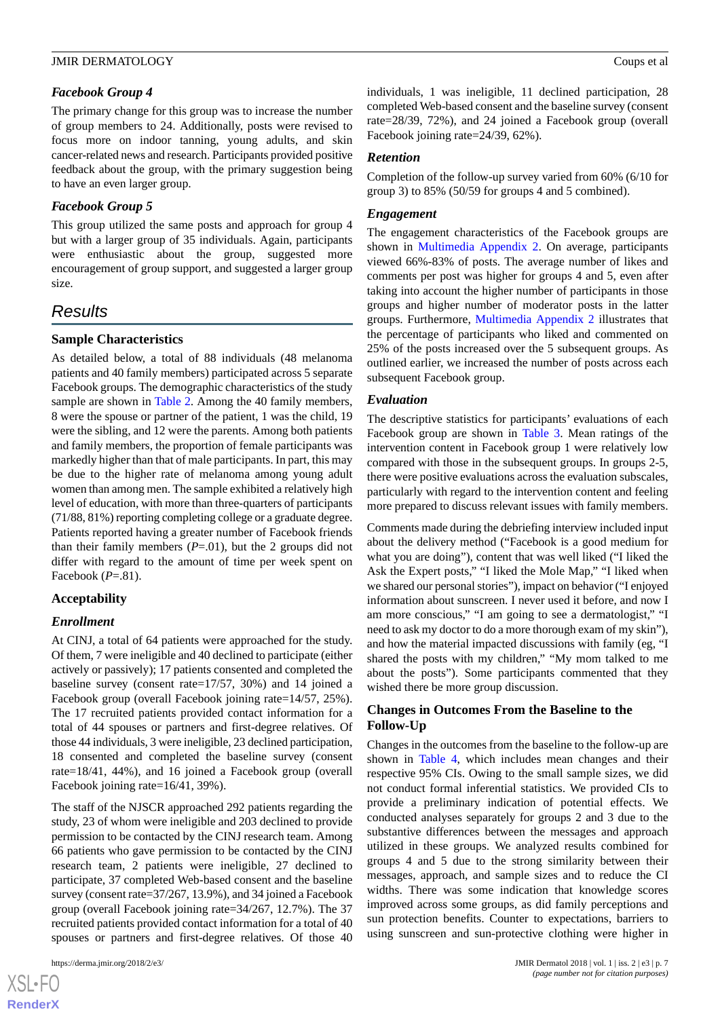#### *Facebook Group 4*

The primary change for this group was to increase the number of group members to 24. Additionally, posts were revised to focus more on indoor tanning, young adults, and skin cancer-related news and research. Participants provided positive feedback about the group, with the primary suggestion being to have an even larger group.

#### *Facebook Group 5*

This group utilized the same posts and approach for group 4 but with a larger group of 35 individuals. Again, participants were enthusiastic about the group, suggested more encouragement of group support, and suggested a larger group size.

## *Results*

#### **Sample Characteristics**

As detailed below, a total of 88 individuals (48 melanoma patients and 40 family members) participated across 5 separate Facebook groups. The demographic characteristics of the study sample are shown in [Table 2.](#page-7-0) Among the 40 family members, 8 were the spouse or partner of the patient, 1 was the child, 19 were the sibling, and 12 were the parents. Among both patients and family members, the proportion of female participants was markedly higher than that of male participants. In part, this may be due to the higher rate of melanoma among young adult women than among men. The sample exhibited a relatively high level of education, with more than three-quarters of participants (71/88, 81%) reporting completing college or a graduate degree. Patients reported having a greater number of Facebook friends than their family members  $(P=0.01)$ , but the 2 groups did not differ with regard to the amount of time per week spent on Facebook (*P*=.81).

#### **Acceptability**

#### *Enrollment*

At CINJ, a total of 64 patients were approached for the study. Of them, 7 were ineligible and 40 declined to participate (either actively or passively); 17 patients consented and completed the baseline survey (consent rate=17/57, 30%) and 14 joined a Facebook group (overall Facebook joining rate=14/57, 25%). The 17 recruited patients provided contact information for a total of 44 spouses or partners and first-degree relatives. Of those 44 individuals, 3 were ineligible, 23 declined participation, 18 consented and completed the baseline survey (consent rate=18/41, 44%), and 16 joined a Facebook group (overall Facebook joining rate=16/41, 39%).

The staff of the NJSCR approached 292 patients regarding the study, 23 of whom were ineligible and 203 declined to provide permission to be contacted by the CINJ research team. Among 66 patients who gave permission to be contacted by the CINJ research team, 2 patients were ineligible, 27 declined to participate, 37 completed Web-based consent and the baseline survey (consent rate=37/267, 13.9%), and 34 joined a Facebook group (overall Facebook joining rate=34/267, 12.7%). The 37 recruited patients provided contact information for a total of 40 spouses or partners and first-degree relatives. Of those 40

 $XS$ -FO **[RenderX](http://www.renderx.com/)** individuals, 1 was ineligible, 11 declined participation, 28 completed Web-based consent and the baseline survey (consent rate=28/39, 72%), and 24 joined a Facebook group (overall Facebook joining rate=24/39, 62%).

#### *Retention*

Completion of the follow-up survey varied from 60% (6/10 for group 3) to 85% (50/59 for groups 4 and 5 combined).

#### *Engagement*

The engagement characteristics of the Facebook groups are shown in [Multimedia Appendix 2](#page-10-20). On average, participants viewed 66%-83% of posts. The average number of likes and comments per post was higher for groups 4 and 5, even after taking into account the higher number of participants in those groups and higher number of moderator posts in the latter groups. Furthermore, [Multimedia Appendix 2](#page-10-20) illustrates that the percentage of participants who liked and commented on 25% of the posts increased over the 5 subsequent groups. As outlined earlier, we increased the number of posts across each subsequent Facebook group.

#### *Evaluation*

The descriptive statistics for participants' evaluations of each Facebook group are shown in [Table 3](#page-8-0). Mean ratings of the intervention content in Facebook group 1 were relatively low compared with those in the subsequent groups. In groups 2-5, there were positive evaluations across the evaluation subscales, particularly with regard to the intervention content and feeling more prepared to discuss relevant issues with family members.

Comments made during the debriefing interview included input about the delivery method ("Facebook is a good medium for what you are doing"), content that was well liked ("I liked the Ask the Expert posts," "I liked the Mole Map," "I liked when we shared our personal stories"), impact on behavior ("I enjoyed information about sunscreen. I never used it before, and now I am more conscious," "I am going to see a dermatologist," "I need to ask my doctor to do a more thorough exam of my skin"), and how the material impacted discussions with family (eg, "I shared the posts with my children," "My mom talked to me about the posts"). Some participants commented that they wished there be more group discussion.

#### **Changes in Outcomes From the Baseline to the Follow-Up**

Changes in the outcomes from the baseline to the follow-up are shown in [Table 4](#page-8-1), which includes mean changes and their respective 95% CIs. Owing to the small sample sizes, we did not conduct formal inferential statistics. We provided CIs to provide a preliminary indication of potential effects. We conducted analyses separately for groups 2 and 3 due to the substantive differences between the messages and approach utilized in these groups. We analyzed results combined for groups 4 and 5 due to the strong similarity between their messages, approach, and sample sizes and to reduce the CI widths. There was some indication that knowledge scores improved across some groups, as did family perceptions and sun protection benefits. Counter to expectations, barriers to using sunscreen and sun-protective clothing were higher in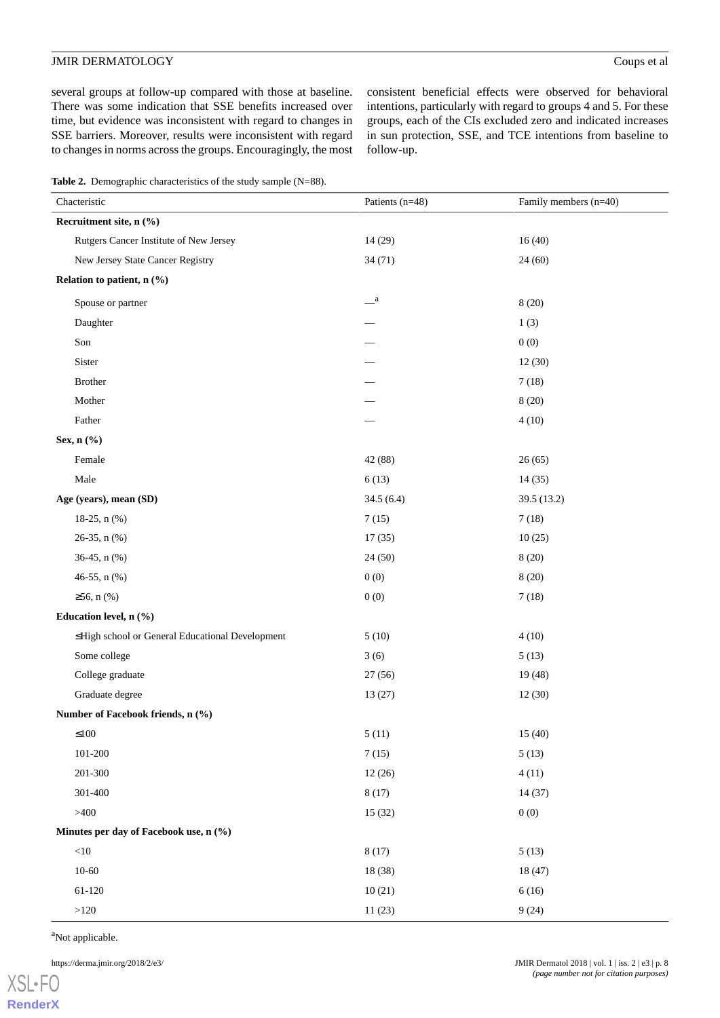several groups at follow-up compared with those at baseline. There was some indication that SSE benefits increased over time, but evidence was inconsistent with regard to changes in SSE barriers. Moreover, results were inconsistent with regard to changes in norms across the groups. Encouragingly, the most consistent beneficial effects were observed for behavioral intentions, particularly with regard to groups 4 and 5. For these groups, each of the CIs excluded zero and indicated increases in sun protection, SSE, and TCE intentions from baseline to follow-up.

<span id="page-7-0"></span>**Table 2.** Demographic characteristics of the study sample (N=88).

| Chacteristic                                    | Patients (n=48)       | Family members (n=40) |
|-------------------------------------------------|-----------------------|-----------------------|
| Recruitment site, n (%)                         |                       |                       |
| Rutgers Cancer Institute of New Jersey          | 14 (29)               | 16(40)                |
| New Jersey State Cancer Registry                | 34(71)                | 24(60)                |
| Relation to patient, n (%)                      |                       |                       |
| Spouse or partner                               | $\equiv$ <sup>a</sup> | 8(20)                 |
| Daughter                                        |                       | 1(3)                  |
| Son                                             |                       | 0(0)                  |
| Sister                                          |                       | 12(30)                |
| Brother                                         |                       | 7(18)                 |
| Mother                                          |                       | 8(20)                 |
| Father                                          |                       | 4(10)                 |
| Sex, n (%)                                      |                       |                       |
| Female                                          | 42 (88)               | 26(65)                |
| Male                                            | 6(13)                 | 14(35)                |
| Age (years), mean (SD)                          | 34.5(6.4)             | 39.5 (13.2)           |
| 18-25, $n$ (%)                                  | 7(15)                 | 7(18)                 |
| 26-35, n (%)                                    | 17(35)                | 10(25)                |
| 36-45, n (%)                                    | 24(50)                | 8(20)                 |
| 46-55, n (%)                                    | 0(0)                  | 8(20)                 |
| $≥56, n$ (%)                                    | 0(0)                  | 7(18)                 |
| Education level, n (%)                          |                       |                       |
| ≤High school or General Educational Development | 5(10)                 | 4(10)                 |
| Some college                                    | 3(6)                  | 5(13)                 |
| College graduate                                | 27(56)                | 19(48)                |
| Graduate degree                                 | 13(27)                | 12(30)                |
| Number of Facebook friends, n (%)               |                       |                       |
| $\leq100$                                       | 5(11)                 | 15(40)                |
| 101-200                                         | 7(15)                 | 5(13)                 |
| 201-300                                         | 12(26)                | 4(11)                 |
| 301-400                                         | 8(17)                 | 14(37)                |
| >400                                            | 15(32)                | 0(0)                  |
| Minutes per day of Facebook use, n (%)          |                       |                       |
| $<\!\!10$                                       | 8(17)                 | 5(13)                 |
| $10 - 60$                                       | 18 (38)               | 18 (47)               |
| 61-120                                          | 10(21)                | 6(16)                 |
| $>\!\!120$                                      | 11(23)                | 9(24)                 |

<sup>a</sup>Not applicable.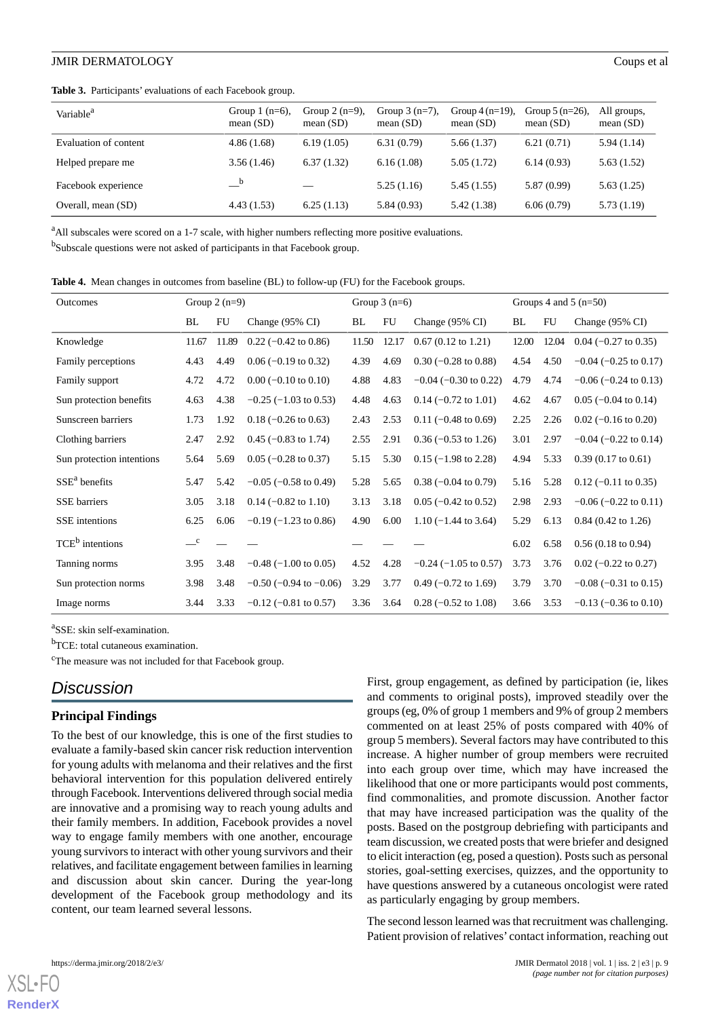<span id="page-8-0"></span>**Table 3.** Participants' evaluations of each Facebook group.

| Variable <sup>a</sup> | Group $1$ (n=6),<br>mean $(SD)$ | Group $2(n=9)$ ,<br>mean $(SD)$ | Group $3(n=7)$ ,<br>mean $(SD)$ | Group $4(n=19)$ ,<br>mean $(SD)$ | Group $5(n=26)$ ,<br>mean $(SD)$ | All groups,<br>mean $(SD)$ |
|-----------------------|---------------------------------|---------------------------------|---------------------------------|----------------------------------|----------------------------------|----------------------------|
| Evaluation of content | 4.86(1.68)                      | 6.19(1.05)                      | 6.31(0.79)                      | 5.66(1.37)                       | 6.21(0.71)                       | 5.94(1.14)                 |
| Helped prepare me     | 3.56(1.46)                      | 6.37(1.32)                      | 6.16(1.08)                      | 5.05(1.72)                       | 6.14(0.93)                       | 5.63(1.52)                 |
| Facebook experience   | $-^{\rm b}$                     | $\overline{\phantom{0}}$        | 5.25(1.16)                      | 5.45(1.55)                       | 5.87 (0.99)                      | 5.63(1.25)                 |
| Overall, mean (SD)    | 4.43(1.53)                      | 6.25(1.13)                      | 5.84(0.93)                      | 5.42 (1.38)                      | 6.06(0.79)                       | 5.73(1.19)                 |

<sup>a</sup>All subscales were scored on a 1-7 scale, with higher numbers reflecting more positive evaluations.

<span id="page-8-1"></span><sup>b</sup>Subscale questions were not asked of participants in that Facebook group.

**Table 4.** Mean changes in outcomes from baseline (BL) to follow-up (FU) for the Facebook groups.

| <b>Outcomes</b>             | Group $2(n=9)$<br>BL<br>FU<br>Change $(95\% \text{ CI})$ |       |                                 | Group $3(n=6)$ |       |                                 | Groups 4 and 5 $(n=50)$ |       |                               |
|-----------------------------|----------------------------------------------------------|-------|---------------------------------|----------------|-------|---------------------------------|-------------------------|-------|-------------------------------|
|                             |                                                          |       |                                 | BL             | FU    | Change (95% CI)                 | BL                      | FU    | Change $(95\% \text{ CI})$    |
| Knowledge                   | 11.67                                                    | 11.89 | $0.22$ (-0.42 to 0.86)          | 11.50          | 12.17 | $0.67$ (0.12 to 1.21)           | 12.00                   | 12.04 | $0.04$ (-0.27 to 0.35)        |
| Family perceptions          | 4.43                                                     | 4.49  | $0.06$ (-0.19 to 0.32)          | 4.39           | 4.69  | $0.30$ (-0.28 to 0.88)          | 4.54                    | 4.50  | $-0.04$ ( $-0.25$ to 0.17)    |
| Family support              | 4.72                                                     | 4.72  | $0.00$ (-0.10 to 0.10)          | 4.88           | 4.83  | $-0.04$ ( $-0.30$ to 0.22)      | 4.79                    | 4.74  | $-0.06$ ( $-0.24$ to 0.13)    |
| Sun protection benefits     | 4.63                                                     | 4.38  | $-0.25$ ( $-1.03$ to 0.53)      | 4.48           | 4.63  | $0.14$ (-0.72 to 1.01)          | 4.62                    | 4.67  | $0.05$ (-0.04 to 0.14)        |
| Sunscreen barriers          | 1.73                                                     | 1.92  | $0.18$ (-0.26 to 0.63)          | 2.43           | 2.53  | $0.11$ (-0.48 to 0.69)          | 2.25                    | 2.26  | $0.02$ (-0.16 to 0.20)        |
| Clothing barriers           | 2.47                                                     | 2.92  | $0.45$ (-0.83 to 1.74)          | 2.55           | 2.91  | $0.36$ (-0.53 to 1.26)          | 3.01                    | 2.97  | $-0.04$ ( $-0.22$ to 0.14)    |
| Sun protection intentions   | 5.64                                                     | 5.69  | $0.05$ (-0.28 to 0.37)          | 5.15           | 5.30  | $0.15$ (-1.98 to 2.28)          | 4.94                    | 5.33  | $0.39(0.17 \text{ to } 0.61)$ |
| $SSEa$ benefits             | 5.47                                                     | 5.42  | $-0.05$ ( $-0.58$ to 0.49)      | 5.28           | 5.65  | $0.38$ (-0.04 to 0.79)          | 5.16                    | 5.28  | $0.12$ (-0.11 to 0.35)        |
| <b>SSE</b> barriers         | 3.05                                                     | 3.18  | $0.14 (-0.82 \text{ to } 1.10)$ | 3.13           | 3.18  | $0.05$ (-0.42 to 0.52)          | 2.98                    | 2.93  | $-0.06$ ( $-0.22$ to 0.11)    |
| <b>SSE</b> intentions       | 6.25                                                     | 6.06  | $-0.19$ ( $-1.23$ to 0.86)      | 4.90           | 6.00  | $1.10 (-1.44 \text{ to } 3.64)$ | 5.29                    | 6.13  | $0.84$ (0.42 to 1.26)         |
| TCE <sup>b</sup> intentions | $\mathbf{C}$                                             |       |                                 |                |       |                                 | 6.02                    | 6.58  | $0.56(0.18 \text{ to } 0.94)$ |
| Tanning norms               | 3.95                                                     | 3.48  | $-0.48$ ( $-1.00$ to 0.05)      | 4.52           | 4.28  | $-0.24$ ( $-1.05$ to 0.57)      | 3.73                    | 3.76  | $0.02$ (-0.22 to 0.27)        |
| Sun protection norms        | 3.98                                                     | 3.48  | $-0.50$ ( $-0.94$ to $-0.06$ )  | 3.29           | 3.77  | $0.49$ (-0.72 to 1.69)          | 3.79                    | 3.70  | $-0.08$ ( $-0.31$ to 0.15)    |
| Image norms                 | 3.44                                                     | 3.33  | $-0.12$ ( $-0.81$ to 0.57)      | 3.36           | 3.64  | $0.28$ (-0.52 to 1.08)          | 3.66                    | 3.53  | $-0.13$ ( $-0.36$ to 0.10)    |

a SSE: skin self-examination.

b<sub>TCE</sub>: total cutaneous examination.

<sup>c</sup>The measure was not included for that Facebook group.

## *Discussion*

#### **Principal Findings**

To the best of our knowledge, this is one of the first studies to evaluate a family-based skin cancer risk reduction intervention for young adults with melanoma and their relatives and the first behavioral intervention for this population delivered entirely through Facebook. Interventions delivered through social media are innovative and a promising way to reach young adults and their family members. In addition, Facebook provides a novel way to engage family members with one another, encourage young survivors to interact with other young survivors and their relatives, and facilitate engagement between families in learning and discussion about skin cancer. During the year-long development of the Facebook group methodology and its content, our team learned several lessons.

First, group engagement, as defined by participation (ie, likes and comments to original posts), improved steadily over the groups (eg, 0% of group 1 members and 9% of group 2 members commented on at least 25% of posts compared with 40% of group 5 members). Several factors may have contributed to this increase. A higher number of group members were recruited into each group over time, which may have increased the likelihood that one or more participants would post comments, find commonalities, and promote discussion. Another factor that may have increased participation was the quality of the posts. Based on the postgroup debriefing with participants and team discussion, we created posts that were briefer and designed to elicit interaction (eg, posed a question). Posts such as personal stories, goal-setting exercises, quizzes, and the opportunity to have questions answered by a cutaneous oncologist were rated as particularly engaging by group members.

The second lesson learned was that recruitment was challenging. Patient provision of relatives' contact information, reaching out

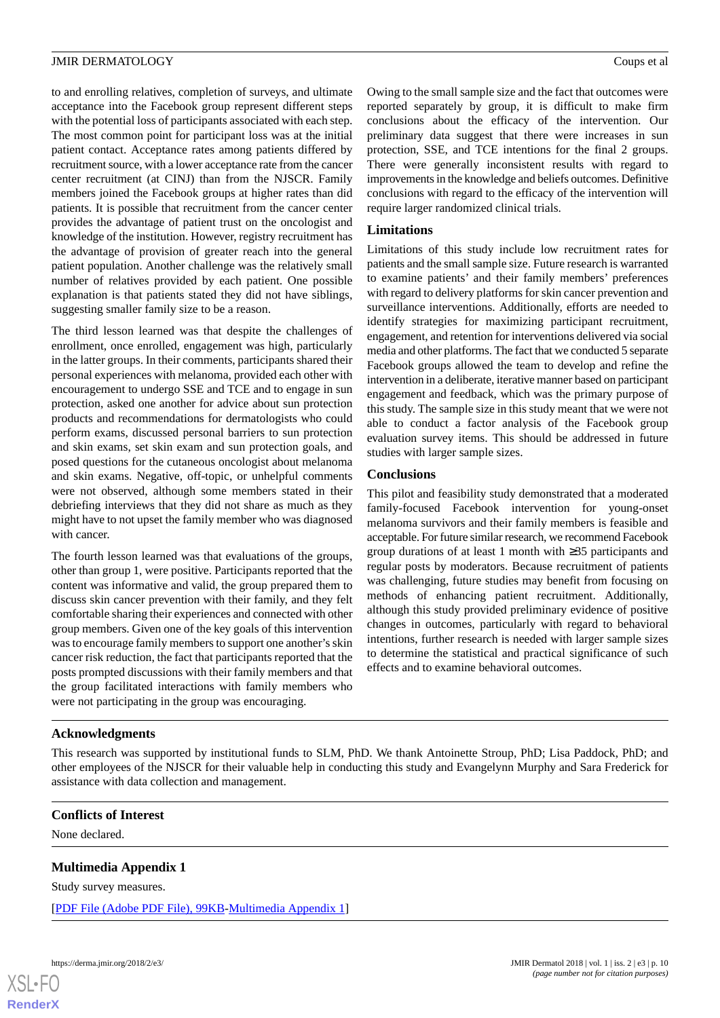to and enrolling relatives, completion of surveys, and ultimate acceptance into the Facebook group represent different steps with the potential loss of participants associated with each step. The most common point for participant loss was at the initial patient contact. Acceptance rates among patients differed by recruitment source, with a lower acceptance rate from the cancer center recruitment (at CINJ) than from the NJSCR. Family members joined the Facebook groups at higher rates than did patients. It is possible that recruitment from the cancer center provides the advantage of patient trust on the oncologist and knowledge of the institution. However, registry recruitment has the advantage of provision of greater reach into the general patient population. Another challenge was the relatively small number of relatives provided by each patient. One possible explanation is that patients stated they did not have siblings, suggesting smaller family size to be a reason.

The third lesson learned was that despite the challenges of enrollment, once enrolled, engagement was high, particularly in the latter groups. In their comments, participants shared their personal experiences with melanoma, provided each other with encouragement to undergo SSE and TCE and to engage in sun protection, asked one another for advice about sun protection products and recommendations for dermatologists who could perform exams, discussed personal barriers to sun protection and skin exams, set skin exam and sun protection goals, and posed questions for the cutaneous oncologist about melanoma and skin exams. Negative, off-topic, or unhelpful comments were not observed, although some members stated in their debriefing interviews that they did not share as much as they might have to not upset the family member who was diagnosed with cancer.

The fourth lesson learned was that evaluations of the groups, other than group 1, were positive. Participants reported that the content was informative and valid, the group prepared them to discuss skin cancer prevention with their family, and they felt comfortable sharing their experiences and connected with other group members. Given one of the key goals of this intervention was to encourage family members to support one another's skin cancer risk reduction, the fact that participants reported that the posts prompted discussions with their family members and that the group facilitated interactions with family members who were not participating in the group was encouraging.

Owing to the small sample size and the fact that outcomes were reported separately by group, it is difficult to make firm conclusions about the efficacy of the intervention. Our preliminary data suggest that there were increases in sun protection, SSE, and TCE intentions for the final 2 groups. There were generally inconsistent results with regard to improvements in the knowledge and beliefs outcomes. Definitive conclusions with regard to the efficacy of the intervention will require larger randomized clinical trials.

#### **Limitations**

Limitations of this study include low recruitment rates for patients and the small sample size. Future research is warranted to examine patients' and their family members' preferences with regard to delivery platforms for skin cancer prevention and surveillance interventions. Additionally, efforts are needed to identify strategies for maximizing participant recruitment, engagement, and retention for interventions delivered via social media and other platforms. The fact that we conducted 5 separate Facebook groups allowed the team to develop and refine the intervention in a deliberate, iterative manner based on participant engagement and feedback, which was the primary purpose of this study. The sample size in this study meant that we were not able to conduct a factor analysis of the Facebook group evaluation survey items. This should be addressed in future studies with larger sample sizes.

#### **Conclusions**

This pilot and feasibility study demonstrated that a moderated family-focused Facebook intervention for young-onset melanoma survivors and their family members is feasible and acceptable. For future similar research, we recommend Facebook group durations of at least 1 month with ≥35 participants and regular posts by moderators. Because recruitment of patients was challenging, future studies may benefit from focusing on methods of enhancing patient recruitment. Additionally, although this study provided preliminary evidence of positive changes in outcomes, particularly with regard to behavioral intentions, further research is needed with larger sample sizes to determine the statistical and practical significance of such effects and to examine behavioral outcomes.

#### **Acknowledgments**

<span id="page-9-0"></span>This research was supported by institutional funds to SLM, PhD. We thank Antoinette Stroup, PhD; Lisa Paddock, PhD; and other employees of the NJSCR for their valuable help in conducting this study and Evangelynn Murphy and Sara Frederick for assistance with data collection and management.

#### **Conflicts of Interest**

None declared.

#### **Multimedia Appendix 1**

Study survey measures.

[[PDF File \(Adobe PDF File\), 99KB-Multimedia Appendix 1](https://jmir.org/api/download?alt_name=derma_v1i2e3_app1.pdf&filename=aa180570cf95cd3b9571a1f28f62779e.pdf)]

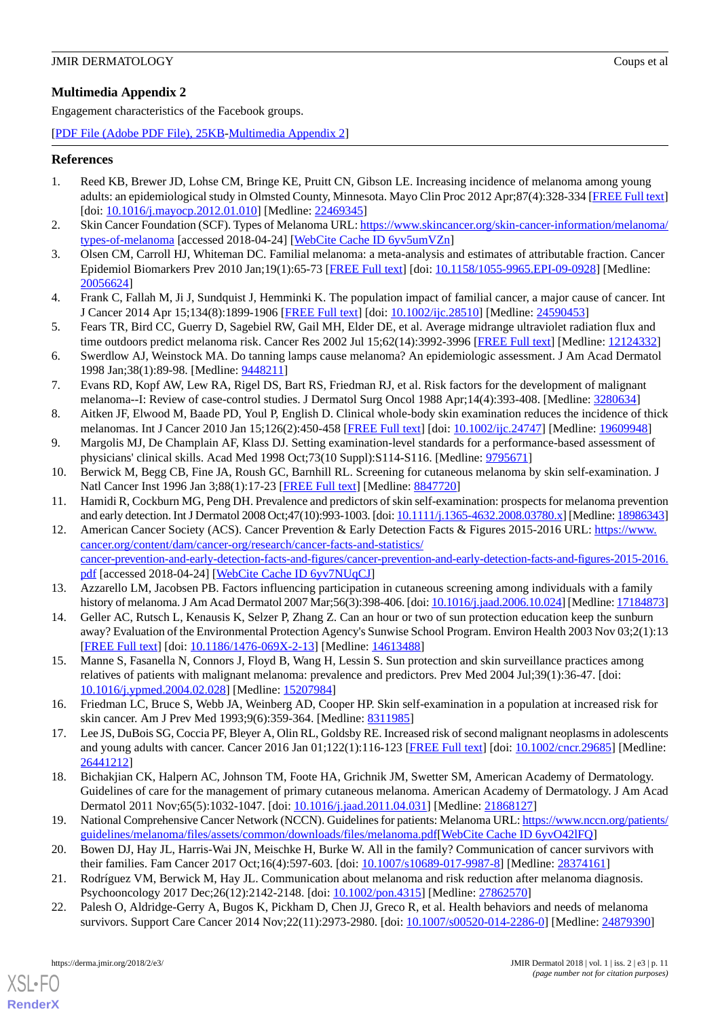<span id="page-10-20"></span>Engagement characteristics of the Facebook groups.

[[PDF File \(Adobe PDF File\), 25KB-Multimedia Appendix 2](https://jmir.org/api/download?alt_name=derma_v1i2e3_app2.pdf&filename=2fbe6ee8602fde1e9bcf2c856c38911b.pdf)]

#### <span id="page-10-0"></span>**References**

- <span id="page-10-1"></span>1. Reed KB, Brewer JD, Lohse CM, Bringe KE, Pruitt CN, Gibson LE. Increasing incidence of melanoma among young adults: an epidemiological study in Olmsted County, Minnesota. Mayo Clin Proc 2012 Apr;87(4):328-334 [\[FREE Full text](http://europepmc.org/abstract/MED/22469345)] [doi: [10.1016/j.mayocp.2012.01.010\]](http://dx.doi.org/10.1016/j.mayocp.2012.01.010) [Medline: [22469345](http://www.ncbi.nlm.nih.gov/entrez/query.fcgi?cmd=Retrieve&db=PubMed&list_uids=22469345&dopt=Abstract)]
- <span id="page-10-2"></span>2. Skin Cancer Foundation (SCF). Types of Melanoma URL: [https://www.skincancer.org/skin-cancer-information/melanoma/](https://www.skincancer.org/skin-cancer-information/melanoma/types-of-melanoma) [types-of-melanoma](https://www.skincancer.org/skin-cancer-information/melanoma/types-of-melanoma) [accessed 2018-04-24] [\[WebCite Cache ID 6yv5umVZn](http://www.webcitation.org/

                                6yv5umVZn)]
- <span id="page-10-3"></span>3. Olsen CM, Carroll HJ, Whiteman DC. Familial melanoma: a meta-analysis and estimates of attributable fraction. Cancer Epidemiol Biomarkers Prev 2010 Jan;19(1):65-73 [\[FREE Full text\]](http://cebp.aacrjournals.org/cgi/pmidlookup?view=long&pmid=20056624) [doi: [10.1158/1055-9965.EPI-09-0928\]](http://dx.doi.org/10.1158/1055-9965.EPI-09-0928) [Medline: [20056624](http://www.ncbi.nlm.nih.gov/entrez/query.fcgi?cmd=Retrieve&db=PubMed&list_uids=20056624&dopt=Abstract)]
- <span id="page-10-4"></span>4. Frank C, Fallah M, Ji J, Sundquist J, Hemminki K. The population impact of familial cancer, a major cause of cancer. Int J Cancer 2014 Apr 15;134(8):1899-1906 [[FREE Full text](https://doi.org/10.1002/ijc.28510)] [doi: [10.1002/ijc.28510](http://dx.doi.org/10.1002/ijc.28510)] [Medline: [24590453\]](http://www.ncbi.nlm.nih.gov/entrez/query.fcgi?cmd=Retrieve&db=PubMed&list_uids=24590453&dopt=Abstract)
- 5. Fears TR, Bird CC, Guerry D, Sagebiel RW, Gail MH, Elder DE, et al. Average midrange ultraviolet radiation flux and time outdoors predict melanoma risk. Cancer Res 2002 Jul 15;62(14):3992-3996 [\[FREE Full text\]](http://cancerres.aacrjournals.org/cgi/pmidlookup?view=long&pmid=12124332) [Medline: [12124332](http://www.ncbi.nlm.nih.gov/entrez/query.fcgi?cmd=Retrieve&db=PubMed&list_uids=12124332&dopt=Abstract)]
- <span id="page-10-5"></span>6. Swerdlow AJ, Weinstock MA. Do tanning lamps cause melanoma? An epidemiologic assessment. J Am Acad Dermatol 1998 Jan;38(1):89-98. [Medline: [9448211\]](http://www.ncbi.nlm.nih.gov/entrez/query.fcgi?cmd=Retrieve&db=PubMed&list_uids=9448211&dopt=Abstract)
- <span id="page-10-7"></span><span id="page-10-6"></span>7. Evans RD, Kopf AW, Lew RA, Rigel DS, Bart RS, Friedman RJ, et al. Risk factors for the development of malignant melanoma--I: Review of case-control studies. J Dermatol Surg Oncol 1988 Apr;14(4):393-408. [Medline: [3280634](http://www.ncbi.nlm.nih.gov/entrez/query.fcgi?cmd=Retrieve&db=PubMed&list_uids=3280634&dopt=Abstract)]
- <span id="page-10-8"></span>8. Aitken JF, Elwood M, Baade PD, Youl P, English D. Clinical whole-body skin examination reduces the incidence of thick melanomas. Int J Cancer 2010 Jan 15;126(2):450-458 [[FREE Full text](https://dx.doi.org/10.1002/ijc.24747)] [doi: [10.1002/ijc.24747](http://dx.doi.org/10.1002/ijc.24747)] [Medline: [19609948\]](http://www.ncbi.nlm.nih.gov/entrez/query.fcgi?cmd=Retrieve&db=PubMed&list_uids=19609948&dopt=Abstract)
- <span id="page-10-9"></span>9. Margolis MJ, De Champlain AF, Klass DJ. Setting examination-level standards for a performance-based assessment of physicians' clinical skills. Acad Med 1998 Oct;73(10 Suppl):S114-S116. [Medline: [9795671\]](http://www.ncbi.nlm.nih.gov/entrez/query.fcgi?cmd=Retrieve&db=PubMed&list_uids=9795671&dopt=Abstract)
- <span id="page-10-10"></span>10. Berwick M, Begg CB, Fine JA, Roush GC, Barnhill RL. Screening for cutaneous melanoma by skin self-examination. J Natl Cancer Inst 1996 Jan 3;88(1):17-23 [\[FREE Full text\]](http://jnci.oxfordjournals.org/cgi/pmidlookup?view=long&pmid=8847720) [Medline: [8847720\]](http://www.ncbi.nlm.nih.gov/entrez/query.fcgi?cmd=Retrieve&db=PubMed&list_uids=8847720&dopt=Abstract)
- 11. Hamidi R, Cockburn MG, Peng DH. Prevalence and predictors of skin self-examination: prospects for melanoma prevention and early detection. Int J Dermatol 2008 Oct;47(10):993-1003. [doi: [10.1111/j.1365-4632.2008.03780.x](http://dx.doi.org/10.1111/j.1365-4632.2008.03780.x)] [Medline: [18986343\]](http://www.ncbi.nlm.nih.gov/entrez/query.fcgi?cmd=Retrieve&db=PubMed&list_uids=18986343&dopt=Abstract)
- <span id="page-10-13"></span><span id="page-10-11"></span>12. American Cancer Society (ACS). Cancer Prevention & Early Detection Facts & Figures 2015-2016 URL: [https://www.](https://www.cancer.org/content/dam/cancer-org/research/cancer-facts-and-statistics/cancer-prevention-and-early-detection-facts-and-figures/cancer-prevention-and-early-detection-facts-and-figures-2015-2016.pdf) [cancer.org/content/dam/cancer-org/research/cancer-facts-and-statistics/](https://www.cancer.org/content/dam/cancer-org/research/cancer-facts-and-statistics/cancer-prevention-and-early-detection-facts-and-figures/cancer-prevention-and-early-detection-facts-and-figures-2015-2016.pdf) [cancer-prevention-and-early-detection-facts-and-figures/cancer-prevention-and-early-detection-facts-and-figures-2015-2016.](https://www.cancer.org/content/dam/cancer-org/research/cancer-facts-and-statistics/cancer-prevention-and-early-detection-facts-and-figures/cancer-prevention-and-early-detection-facts-and-figures-2015-2016.pdf) [pdf](https://www.cancer.org/content/dam/cancer-org/research/cancer-facts-and-statistics/cancer-prevention-and-early-detection-facts-and-figures/cancer-prevention-and-early-detection-facts-and-figures-2015-2016.pdf) [accessed 2018-04-24] [[WebCite Cache ID 6yv7NUqCJ\]](http://www.webcitation.org/

                                6yv7NUqCJ)
- <span id="page-10-12"></span>13. Azzarello LM, Jacobsen PB. Factors influencing participation in cutaneous screening among individuals with a family history of melanoma. J Am Acad Dermatol 2007 Mar;56(3):398-406. [doi: [10.1016/j.jaad.2006.10.024](http://dx.doi.org/10.1016/j.jaad.2006.10.024)] [Medline: [17184873\]](http://www.ncbi.nlm.nih.gov/entrez/query.fcgi?cmd=Retrieve&db=PubMed&list_uids=17184873&dopt=Abstract)
- <span id="page-10-14"></span>14. Geller AC, Rutsch L, Kenausis K, Selzer P, Zhang Z. Can an hour or two of sun protection education keep the sunburn away? Evaluation of the Environmental Protection Agency's Sunwise School Program. Environ Health 2003 Nov 03;2(1):13 [[FREE Full text](https://ehjournal.biomedcentral.com/articles/10.1186/1476-069X-2-13)] [doi: [10.1186/1476-069X-2-13\]](http://dx.doi.org/10.1186/1476-069X-2-13) [Medline: [14613488\]](http://www.ncbi.nlm.nih.gov/entrez/query.fcgi?cmd=Retrieve&db=PubMed&list_uids=14613488&dopt=Abstract)
- <span id="page-10-15"></span>15. Manne S, Fasanella N, Connors J, Floyd B, Wang H, Lessin S. Sun protection and skin surveillance practices among relatives of patients with malignant melanoma: prevalence and predictors. Prev Med 2004 Jul;39(1):36-47. [doi: [10.1016/j.ypmed.2004.02.028\]](http://dx.doi.org/10.1016/j.ypmed.2004.02.028) [Medline: [15207984\]](http://www.ncbi.nlm.nih.gov/entrez/query.fcgi?cmd=Retrieve&db=PubMed&list_uids=15207984&dopt=Abstract)
- <span id="page-10-16"></span>16. Friedman LC, Bruce S, Webb JA, Weinberg AD, Cooper HP. Skin self-examination in a population at increased risk for skin cancer. Am J Prev Med 1993;9(6):359-364. [Medline: [8311985](http://www.ncbi.nlm.nih.gov/entrez/query.fcgi?cmd=Retrieve&db=PubMed&list_uids=8311985&dopt=Abstract)]
- <span id="page-10-17"></span>17. Lee JS, DuBois SG, Coccia PF, Bleyer A, Olin RL, Goldsby RE. Increased risk of second malignant neoplasms in adolescents and young adults with cancer. Cancer 2016 Jan 01;122(1):116-123 [[FREE Full text](https://doi.org/10.1002/cncr.29685)] [doi: [10.1002/cncr.29685\]](http://dx.doi.org/10.1002/cncr.29685) [Medline: [26441212](http://www.ncbi.nlm.nih.gov/entrez/query.fcgi?cmd=Retrieve&db=PubMed&list_uids=26441212&dopt=Abstract)]
- <span id="page-10-18"></span>18. Bichakjian CK, Halpern AC, Johnson TM, Foote HA, Grichnik JM, Swetter SM, American Academy of Dermatology. Guidelines of care for the management of primary cutaneous melanoma. American Academy of Dermatology. J Am Acad Dermatol 2011 Nov;65(5):1032-1047. [doi: [10.1016/j.jaad.2011.04.031](http://dx.doi.org/10.1016/j.jaad.2011.04.031)] [Medline: [21868127\]](http://www.ncbi.nlm.nih.gov/entrez/query.fcgi?cmd=Retrieve&db=PubMed&list_uids=21868127&dopt=Abstract)
- <span id="page-10-19"></span>19. National Comprehensive Cancer Network (NCCN). Guidelines for patients: Melanoma URL: [https://www.nccn.org/patients/](https://www.nccn.org/patients/guidelines/melanoma/files/assets/common/downloads/files/melanoma.pdf) [guidelines/melanoma/files/assets/common/downloads/files/melanoma.pdf\[](https://www.nccn.org/patients/guidelines/melanoma/files/assets/common/downloads/files/melanoma.pdf)[WebCite Cache ID 6yvO42lFQ\]](http://www.webcitation.org/

                                6yvO42lFQ)
- 20. Bowen DJ, Hay JL, Harris-Wai JN, Meischke H, Burke W. All in the family? Communication of cancer survivors with their families. Fam Cancer 2017 Oct;16(4):597-603. [doi: [10.1007/s10689-017-9987-8\]](http://dx.doi.org/10.1007/s10689-017-9987-8) [Medline: [28374161](http://www.ncbi.nlm.nih.gov/entrez/query.fcgi?cmd=Retrieve&db=PubMed&list_uids=28374161&dopt=Abstract)]
- 21. Rodríguez VM, Berwick M, Hay JL. Communication about melanoma and risk reduction after melanoma diagnosis. Psychooncology 2017 Dec;26(12):2142-2148. [doi: [10.1002/pon.4315](http://dx.doi.org/10.1002/pon.4315)] [Medline: [27862570](http://www.ncbi.nlm.nih.gov/entrez/query.fcgi?cmd=Retrieve&db=PubMed&list_uids=27862570&dopt=Abstract)]
- 22. Palesh O, Aldridge-Gerry A, Bugos K, Pickham D, Chen JJ, Greco R, et al. Health behaviors and needs of melanoma survivors. Support Care Cancer 2014 Nov;22(11):2973-2980. [doi: [10.1007/s00520-014-2286-0](http://dx.doi.org/10.1007/s00520-014-2286-0)] [Medline: [24879390](http://www.ncbi.nlm.nih.gov/entrez/query.fcgi?cmd=Retrieve&db=PubMed&list_uids=24879390&dopt=Abstract)]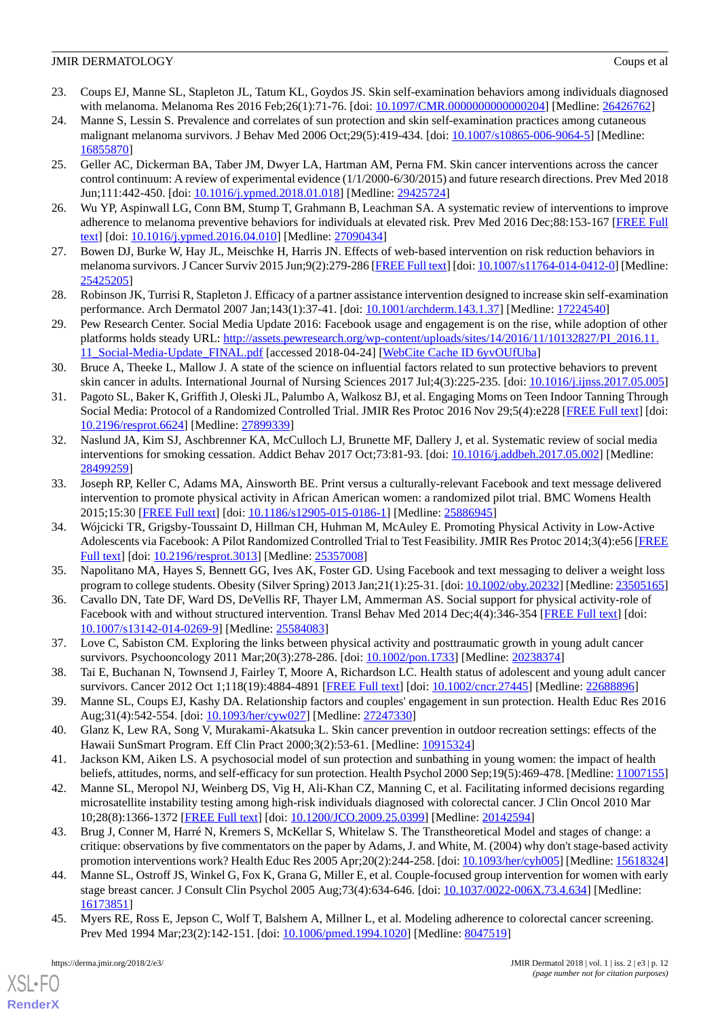- <span id="page-11-0"></span>23. Coups EJ, Manne SL, Stapleton JL, Tatum KL, Goydos JS. Skin self-examination behaviors among individuals diagnosed with melanoma. Melanoma Res 2016 Feb;26(1):71-76. [doi: [10.1097/CMR.0000000000000204\]](http://dx.doi.org/10.1097/CMR.0000000000000204) [Medline: [26426762](http://www.ncbi.nlm.nih.gov/entrez/query.fcgi?cmd=Retrieve&db=PubMed&list_uids=26426762&dopt=Abstract)]
- <span id="page-11-1"></span>24. Manne S, Lessin S. Prevalence and correlates of sun protection and skin self-examination practices among cutaneous malignant melanoma survivors. J Behav Med 2006 Oct;29(5):419-434. [doi: [10.1007/s10865-006-9064-5](http://dx.doi.org/10.1007/s10865-006-9064-5)] [Medline: [16855870](http://www.ncbi.nlm.nih.gov/entrez/query.fcgi?cmd=Retrieve&db=PubMed&list_uids=16855870&dopt=Abstract)]
- <span id="page-11-2"></span>25. Geller AC, Dickerman BA, Taber JM, Dwyer LA, Hartman AM, Perna FM. Skin cancer interventions across the cancer control continuum: A review of experimental evidence (1/1/2000-6/30/2015) and future research directions. Prev Med 2018 Jun;111:442-450. [doi: [10.1016/j.ypmed.2018.01.018\]](http://dx.doi.org/10.1016/j.ypmed.2018.01.018) [Medline: [29425724\]](http://www.ncbi.nlm.nih.gov/entrez/query.fcgi?cmd=Retrieve&db=PubMed&list_uids=29425724&dopt=Abstract)
- <span id="page-11-4"></span><span id="page-11-3"></span>26. Wu YP, Aspinwall LG, Conn BM, Stump T, Grahmann B, Leachman SA. A systematic review of interventions to improve adherence to melanoma preventive behaviors for individuals at elevated risk. Prev Med 2016 Dec;88:153-167 [[FREE Full](http://europepmc.org/abstract/MED/27090434) [text](http://europepmc.org/abstract/MED/27090434)] [doi: [10.1016/j.ypmed.2016.04.010\]](http://dx.doi.org/10.1016/j.ypmed.2016.04.010) [Medline: [27090434\]](http://www.ncbi.nlm.nih.gov/entrez/query.fcgi?cmd=Retrieve&db=PubMed&list_uids=27090434&dopt=Abstract)
- <span id="page-11-5"></span>27. Bowen DJ, Burke W, Hay JL, Meischke H, Harris JN. Effects of web-based intervention on risk reduction behaviors in melanoma survivors. J Cancer Surviv 2015 Jun;9(2):279-286 [\[FREE Full text](http://europepmc.org/abstract/MED/25425205)] [doi: [10.1007/s11764-014-0412-0](http://dx.doi.org/10.1007/s11764-014-0412-0)] [Medline: [25425205](http://www.ncbi.nlm.nih.gov/entrez/query.fcgi?cmd=Retrieve&db=PubMed&list_uids=25425205&dopt=Abstract)]
- <span id="page-11-6"></span>28. Robinson JK, Turrisi R, Stapleton J. Efficacy of a partner assistance intervention designed to increase skin self-examination performance. Arch Dermatol 2007 Jan;143(1):37-41. [doi: [10.1001/archderm.143.1.37](http://dx.doi.org/10.1001/archderm.143.1.37)] [Medline: [17224540\]](http://www.ncbi.nlm.nih.gov/entrez/query.fcgi?cmd=Retrieve&db=PubMed&list_uids=17224540&dopt=Abstract)
- <span id="page-11-7"></span>29. Pew Research Center. Social Media Update 2016: Facebook usage and engagement is on the rise, while adoption of other platforms holds steady URL: [http://assets.pewresearch.org/wp-content/uploads/sites/14/2016/11/10132827/PI\\_2016.11.](http://assets.pewresearch.org/wp-content/uploads/sites/14/2016/11/10132827/PI_2016.11.11_Social-Media-Update_FINAL.pdf) [11\\_Social-Media-Update\\_FINAL.pdf](http://assets.pewresearch.org/wp-content/uploads/sites/14/2016/11/10132827/PI_2016.11.11_Social-Media-Update_FINAL.pdf) [accessed 2018-04-24] [[WebCite Cache ID 6yvOUfUba\]](http://www.webcitation.org/

                                6yvOUfUba)
- <span id="page-11-8"></span>30. Bruce A, Theeke L, Mallow J. A state of the science on influential factors related to sun protective behaviors to prevent skin cancer in adults. International Journal of Nursing Sciences 2017 Jul;4(3):225-235. [doi: [10.1016/j.ijnss.2017.05.005](http://dx.doi.org/10.1016/j.ijnss.2017.05.005)]
- <span id="page-11-9"></span>31. Pagoto SL, Baker K, Griffith J, Oleski JL, Palumbo A, Walkosz BJ, et al. Engaging Moms on Teen Indoor Tanning Through Social Media: Protocol of a Randomized Controlled Trial. JMIR Res Protoc 2016 Nov 29;5(4):e228 [\[FREE Full text](http://www.researchprotocols.org/2016/4/e228/)] [doi: [10.2196/resprot.6624](http://dx.doi.org/10.2196/resprot.6624)] [Medline: [27899339\]](http://www.ncbi.nlm.nih.gov/entrez/query.fcgi?cmd=Retrieve&db=PubMed&list_uids=27899339&dopt=Abstract)
- <span id="page-11-10"></span>32. Naslund JA, Kim SJ, Aschbrenner KA, McCulloch LJ, Brunette MF, Dallery J, et al. Systematic review of social media interventions for smoking cessation. Addict Behav 2017 Oct;73:81-93. [doi: [10.1016/j.addbeh.2017.05.002\]](http://dx.doi.org/10.1016/j.addbeh.2017.05.002) [Medline: [28499259](http://www.ncbi.nlm.nih.gov/entrez/query.fcgi?cmd=Retrieve&db=PubMed&list_uids=28499259&dopt=Abstract)]
- <span id="page-11-11"></span>33. Joseph RP, Keller C, Adams MA, Ainsworth BE. Print versus a culturally-relevant Facebook and text message delivered intervention to promote physical activity in African American women: a randomized pilot trial. BMC Womens Health 2015;15:30 [[FREE Full text](http://www.biomedcentral.com/1472-6874/15/30)] [doi: [10.1186/s12905-015-0186-1\]](http://dx.doi.org/10.1186/s12905-015-0186-1) [Medline: [25886945\]](http://www.ncbi.nlm.nih.gov/entrez/query.fcgi?cmd=Retrieve&db=PubMed&list_uids=25886945&dopt=Abstract)
- <span id="page-11-13"></span><span id="page-11-12"></span>34. Wójcicki TR, Grigsby-Toussaint D, Hillman CH, Huhman M, McAuley E. Promoting Physical Activity in Low-Active Adolescents via Facebook: A Pilot Randomized Controlled Trial to Test Feasibility. JMIR Res Protoc 2014;3(4):e56 [\[FREE](http://www.researchprotocols.org/2014/4/e56/) [Full text\]](http://www.researchprotocols.org/2014/4/e56/) [doi: [10.2196/resprot.3013\]](http://dx.doi.org/10.2196/resprot.3013) [Medline: [25357008](http://www.ncbi.nlm.nih.gov/entrez/query.fcgi?cmd=Retrieve&db=PubMed&list_uids=25357008&dopt=Abstract)]
- <span id="page-11-14"></span>35. Napolitano MA, Hayes S, Bennett GG, Ives AK, Foster GD. Using Facebook and text messaging to deliver a weight loss program to college students. Obesity (Silver Spring) 2013 Jan;21(1):25-31. [doi: [10.1002/oby.20232\]](http://dx.doi.org/10.1002/oby.20232) [Medline: [23505165](http://www.ncbi.nlm.nih.gov/entrez/query.fcgi?cmd=Retrieve&db=PubMed&list_uids=23505165&dopt=Abstract)]
- <span id="page-11-15"></span>36. Cavallo DN, Tate DF, Ward DS, DeVellis RF, Thayer LM, Ammerman AS. Social support for physical activity-role of Facebook with and without structured intervention. Transl Behav Med 2014 Dec;4(4):346-354 [\[FREE Full text](http://europepmc.org/abstract/MED/25584083)] [doi: [10.1007/s13142-014-0269-9\]](http://dx.doi.org/10.1007/s13142-014-0269-9) [Medline: [25584083](http://www.ncbi.nlm.nih.gov/entrez/query.fcgi?cmd=Retrieve&db=PubMed&list_uids=25584083&dopt=Abstract)]
- <span id="page-11-16"></span>37. Love C, Sabiston CM. Exploring the links between physical activity and posttraumatic growth in young adult cancer survivors. Psychooncology 2011 Mar;20(3):278-286. [doi: [10.1002/pon.1733\]](http://dx.doi.org/10.1002/pon.1733) [Medline: [20238374\]](http://www.ncbi.nlm.nih.gov/entrez/query.fcgi?cmd=Retrieve&db=PubMed&list_uids=20238374&dopt=Abstract)
- <span id="page-11-18"></span><span id="page-11-17"></span>38. Tai E, Buchanan N, Townsend J, Fairley T, Moore A, Richardson LC. Health status of adolescent and young adult cancer survivors. Cancer 2012 Oct 1;118(19):4884-4891 [[FREE Full text](http://dx.doi.org/10.1002/cncr.27445)] [doi: [10.1002/cncr.27445](http://dx.doi.org/10.1002/cncr.27445)] [Medline: [22688896\]](http://www.ncbi.nlm.nih.gov/entrez/query.fcgi?cmd=Retrieve&db=PubMed&list_uids=22688896&dopt=Abstract)
- <span id="page-11-19"></span>39. Manne SL, Coups EJ, Kashy DA. Relationship factors and couples' engagement in sun protection. Health Educ Res 2016 Aug;31(4):542-554. [doi: [10.1093/her/cyw027](http://dx.doi.org/10.1093/her/cyw027)] [Medline: [27247330\]](http://www.ncbi.nlm.nih.gov/entrez/query.fcgi?cmd=Retrieve&db=PubMed&list_uids=27247330&dopt=Abstract)
- 40. Glanz K, Lew RA, Song V, Murakami-Akatsuka L. Skin cancer prevention in outdoor recreation settings: effects of the Hawaii SunSmart Program. Eff Clin Pract 2000;3(2):53-61. [Medline: [10915324](http://www.ncbi.nlm.nih.gov/entrez/query.fcgi?cmd=Retrieve&db=PubMed&list_uids=10915324&dopt=Abstract)]
- 41. Jackson KM, Aiken LS. A psychosocial model of sun protection and sunbathing in young women: the impact of health beliefs, attitudes, norms, and self-efficacy for sun protection. Health Psychol 2000 Sep;19(5):469-478. [Medline: [11007155](http://www.ncbi.nlm.nih.gov/entrez/query.fcgi?cmd=Retrieve&db=PubMed&list_uids=11007155&dopt=Abstract)]
- <span id="page-11-20"></span>42. Manne SL, Meropol NJ, Weinberg DS, Vig H, Ali-Khan CZ, Manning C, et al. Facilitating informed decisions regarding microsatellite instability testing among high-risk individuals diagnosed with colorectal cancer. J Clin Oncol 2010 Mar 10;28(8):1366-1372 [[FREE Full text](http://jco.ascopubs.org/cgi/pmidlookup?view=long&pmid=20142594)] [doi: [10.1200/JCO.2009.25.0399](http://dx.doi.org/10.1200/JCO.2009.25.0399)] [Medline: [20142594\]](http://www.ncbi.nlm.nih.gov/entrez/query.fcgi?cmd=Retrieve&db=PubMed&list_uids=20142594&dopt=Abstract)
- <span id="page-11-21"></span>43. Brug J, Conner M, Harré N, Kremers S, McKellar S, Whitelaw S. The Transtheoretical Model and stages of change: a critique: observations by five commentators on the paper by Adams, J. and White, M. (2004) why don't stage-based activity promotion interventions work? Health Educ Res 2005 Apr;20(2):244-258. [doi: [10.1093/her/cyh005\]](http://dx.doi.org/10.1093/her/cyh005) [Medline: [15618324](http://www.ncbi.nlm.nih.gov/entrez/query.fcgi?cmd=Retrieve&db=PubMed&list_uids=15618324&dopt=Abstract)]
- 44. Manne SL, Ostroff JS, Winkel G, Fox K, Grana G, Miller E, et al. Couple-focused group intervention for women with early stage breast cancer. J Consult Clin Psychol 2005 Aug;73(4):634-646. [doi: [10.1037/0022-006X.73.4.634](http://dx.doi.org/10.1037/0022-006X.73.4.634)] [Medline: [16173851](http://www.ncbi.nlm.nih.gov/entrez/query.fcgi?cmd=Retrieve&db=PubMed&list_uids=16173851&dopt=Abstract)]
- 45. Myers RE, Ross E, Jepson C, Wolf T, Balshem A, Millner L, et al. Modeling adherence to colorectal cancer screening. Prev Med 1994 Mar; 23(2): 142-151. [doi: [10.1006/pmed.1994.1020](http://dx.doi.org/10.1006/pmed.1994.1020)] [Medline: [8047519](http://www.ncbi.nlm.nih.gov/entrez/query.fcgi?cmd=Retrieve&db=PubMed&list_uids=8047519&dopt=Abstract)]